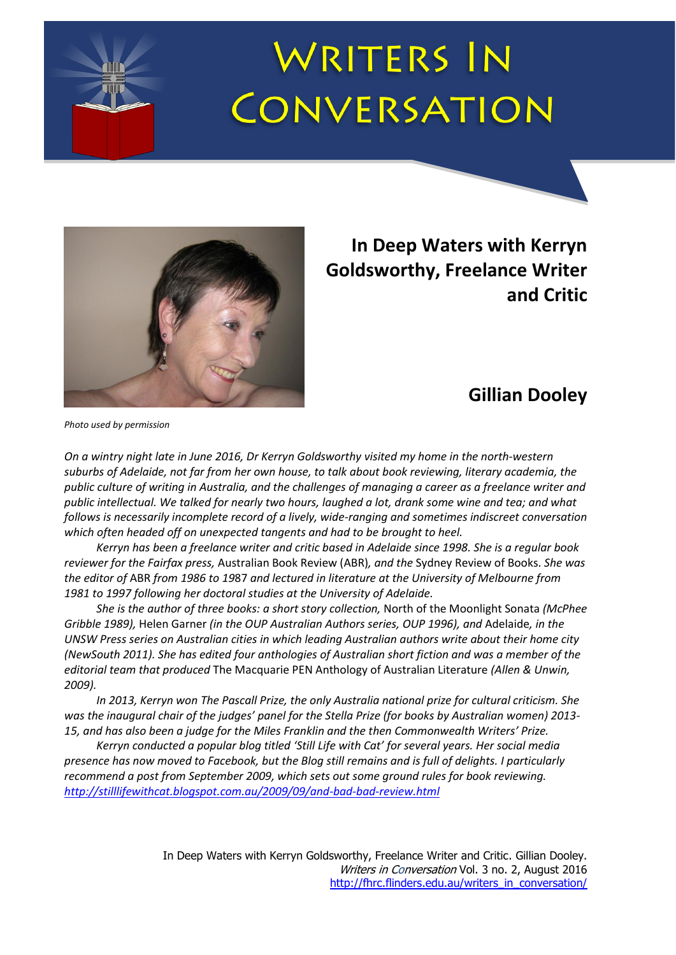# **WRITERS IN CONVERSATION**



**In Deep Waters with Kerryn Goldsworthy, Freelance Writer and Critic**

## **Gillian Dooley**

*Photo used by permission*

*On a wintry night late in June 2016, Dr Kerryn Goldsworthy visited my home in the north-western suburbs of Adelaide, not far from her own house, to talk about book reviewing, literary academia, the public culture of writing in Australia, and the challenges of managing a career as a freelance writer and public intellectual. We talked for nearly two hours, laughed a lot, drank some wine and tea; and what follows is necessarily incomplete record of a lively, wide-ranging and sometimes indiscreet conversation which often headed off on unexpected tangents and had to be brought to heel.*

*Kerryn has been a freelance writer and critic based in Adelaide since 1998. She is a regular book reviewer for the Fairfax press,* Australian Book Review (ABR)*, and the* Sydney Review of Books. *She was the editor of* ABR *from 1986 to 19*87 *and lectured in literature at the University of Melbourne from 1981 to 1997 following her doctoral studies at the University of Adelaide.*

*She is the author of three books: a short story collection,* North of the Moonlight Sonata *(McPhee Gribble 1989),* Helen Garner *(in the OUP Australian Authors series, OUP 1996), and* Adelaide*, in the UNSW Press series on Australian cities in which leading Australian authors write about their home city (NewSouth 2011). She has edited four anthologies of Australian short fiction and was a member of the editorial team that produced* The Macquarie PEN Anthology of Australian Literature *(Allen & Unwin, 2009).*

*In 2013, Kerryn won The Pascall Prize, the only Australia national prize for cultural criticism. She was the inaugural chair of the judges' panel for the Stella Prize (for books by Australian women) 2013- 15, and has also been a judge for the Miles Franklin and the then Commonwealth Writers' Prize.*

*Kerryn conducted a popular blog titled 'Still Life with Cat' for several years. Her social media presence has now moved to Facebook, but the Blog still remains and is full of delights. I particularly recommend a post from September 2009, which sets out some ground rules for book reviewing. <http://stilllifewithcat.blogspot.com.au/2009/09/and-bad-bad-review.html>*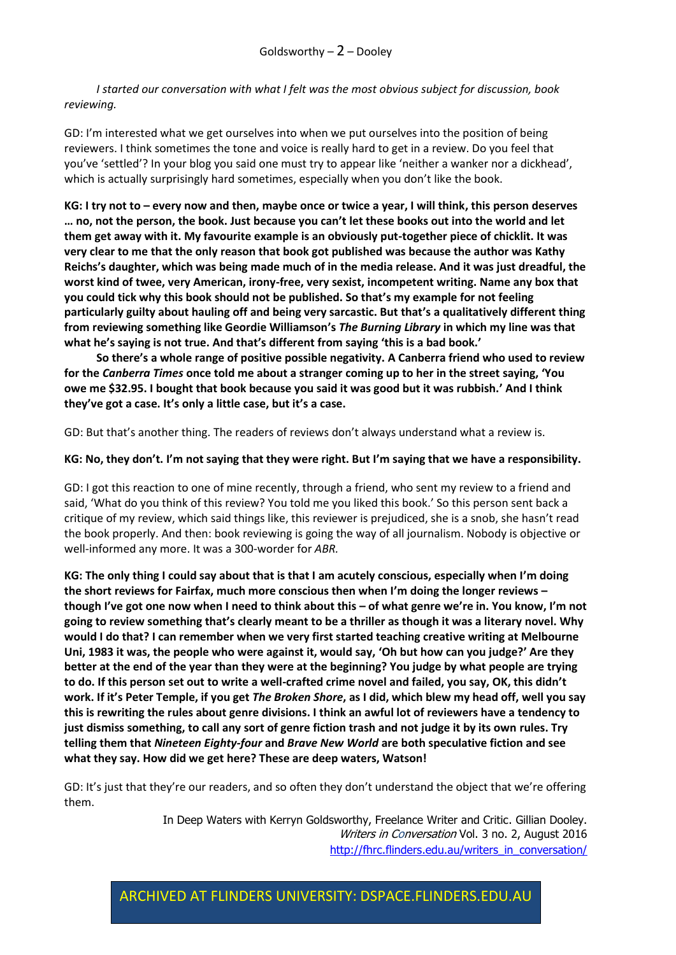*I started our conversation with what I felt was the most obvious subject for discussion, book reviewing.*

GD: I'm interested what we get ourselves into when we put ourselves into the position of being reviewers. I think sometimes the tone and voice is really hard to get in a review. Do you feel that you've 'settled'? In your blog you said one must try to appear like 'neither a wanker nor a dickhead', which is actually surprisingly hard sometimes, especially when you don't like the book.

**KG: I try not to – every now and then, maybe once or twice a year, I will think, this person deserves … no, not the person, the book. Just because you can't let these books out into the world and let them get away with it. My favourite example is an obviously put-together piece of chicklit. It was very clear to me that the only reason that book got published was because the author was Kathy Reichs's daughter, which was being made much of in the media release. And it was just dreadful, the worst kind of twee, very American, irony-free, very sexist, incompetent writing. Name any box that you could tick why this book should not be published. So that's my example for not feeling particularly guilty about hauling off and being very sarcastic. But that's a qualitatively different thing from reviewing something like Geordie Williamson's** *The Burning Library* **in which my line was that what he's saying is not true. And that's different from saying 'this is a bad book.'**

**So there's a whole range of positive possible negativity. A Canberra friend who used to review for the** *Canberra Times* **once told me about a stranger coming up to her in the street saying, 'You owe me \$32.95. I bought that book because you said it was good but it was rubbish.' And I think they've got a case. It's only a little case, but it's a case.** 

GD: But that's another thing. The readers of reviews don't always understand what a review is.

#### **KG: No, they don't. I'm not saying that they were right. But I'm saying that we have a responsibility.**

GD: I got this reaction to one of mine recently, through a friend, who sent my review to a friend and said, 'What do you think of this review? You told me you liked this book.' So this person sent back a critique of my review, which said things like, this reviewer is prejudiced, she is a snob, she hasn't read the book properly. And then: book reviewing is going the way of all journalism. Nobody is objective or well-informed any more. It was a 300-worder for *ABR.*

**KG: The only thing I could say about that is that I am acutely conscious, especially when I'm doing the short reviews for Fairfax, much more conscious then when I'm doing the longer reviews – though I've got one now when I need to think about this – of what genre we're in. You know, I'm not going to review something that's clearly meant to be a thriller as though it was a literary novel. Why would I do that? I can remember when we very first started teaching creative writing at Melbourne Uni, 1983 it was, the people who were against it, would say, 'Oh but how can you judge?' Are they better at the end of the year than they were at the beginning? You judge by what people are trying to do. If this person set out to write a well-crafted crime novel and failed, you say, OK, this didn't work. If it's Peter Temple, if you get** *The Broken Shore***, as I did, which blew my head off, well you say this is rewriting the rules about genre divisions. I think an awful lot of reviewers have a tendency to just dismiss something, to call any sort of genre fiction trash and not judge it by its own rules. Try telling them that** *Nineteen Eighty-four* **and** *Brave New World* **are both speculative fiction and see what they say. How did we get here? These are deep waters, Watson!**

GD: It's just that they're our readers, and so often they don't understand the object that we're offering them.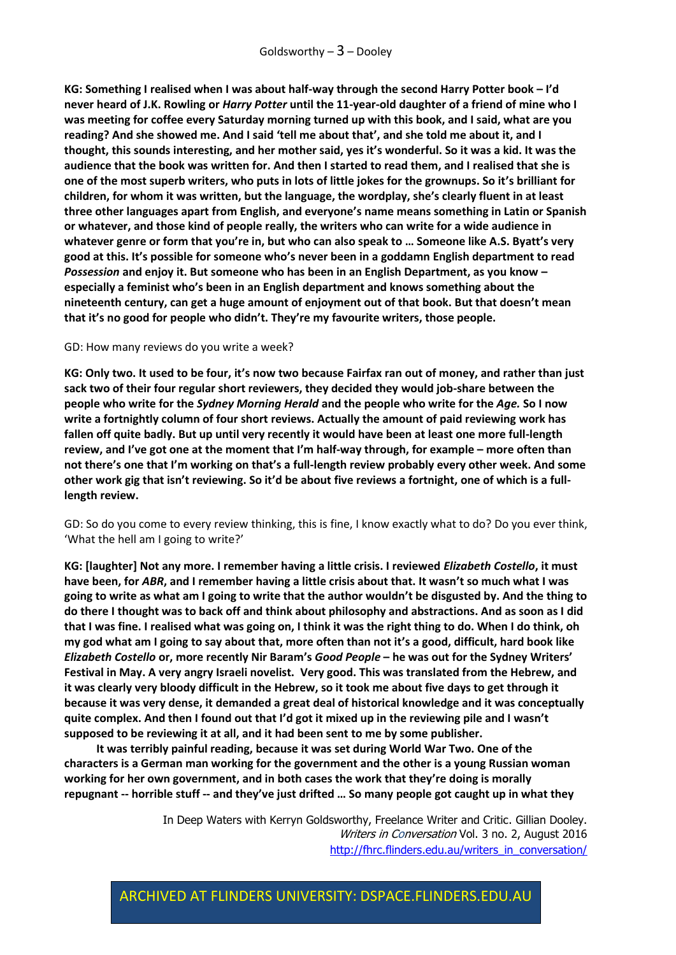**KG: Something I realised when I was about half-way through the second Harry Potter book – I'd never heard of J.K. Rowling or** *Harry Potter* **until the 11-year-old daughter of a friend of mine who I was meeting for coffee every Saturday morning turned up with this book, and I said, what are you reading? And she showed me. And I said 'tell me about that', and she told me about it, and I thought, this sounds interesting, and her mother said, yes it's wonderful. So it was a kid. It was the audience that the book was written for. And then I started to read them, and I realised that she is one of the most superb writers, who puts in lots of little jokes for the grownups. So it's brilliant for children, for whom it was written, but the language, the wordplay, she's clearly fluent in at least three other languages apart from English, and everyone's name means something in Latin or Spanish or whatever, and those kind of people really, the writers who can write for a wide audience in whatever genre or form that you're in, but who can also speak to … Someone like A.S. Byatt's very good at this. It's possible for someone who's never been in a goddamn English department to read**  *Possession* **and enjoy it. But someone who has been in an English Department, as you know – especially a feminist who's been in an English department and knows something about the nineteenth century, can get a huge amount of enjoyment out of that book. But that doesn't mean that it's no good for people who didn't. They're my favourite writers, those people.** 

#### GD: How many reviews do you write a week?

**KG: Only two. It used to be four, it's now two because Fairfax ran out of money, and rather than just sack two of their four regular short reviewers, they decided they would job-share between the people who write for the** *Sydney Morning Herald* **and the people who write for the** *Age.* **So I now write a fortnightly column of four short reviews. Actually the amount of paid reviewing work has fallen off quite badly. But up until very recently it would have been at least one more full-length review, and I've got one at the moment that I'm half-way through, for example – more often than not there's one that I'm working on that's a full-length review probably every other week. And some other work gig that isn't reviewing. So it'd be about five reviews a fortnight, one of which is a fulllength review.** 

GD: So do you come to every review thinking, this is fine, I know exactly what to do? Do you ever think, 'What the hell am I going to write?'

**KG: [laughter] Not any more. I remember having a little crisis. I reviewed** *Elizabeth Costello***, it must have been, for** *ABR***, and I remember having a little crisis about that. It wasn't so much what I was going to write as what am I going to write that the author wouldn't be disgusted by. And the thing to do there I thought was to back off and think about philosophy and abstractions. And as soon as I did that I was fine. I realised what was going on, I think it was the right thing to do. When I do think, oh my god what am I going to say about that, more often than not it's a good, difficult, hard book like**  *Elizabeth Costello* **or, more recently Nir Baram's** *Good People* **– he was out for the Sydney Writers' Festival in May. A very angry Israeli novelist. Very good. This was translated from the Hebrew, and it was clearly very bloody difficult in the Hebrew, so it took me about five days to get through it because it was very dense, it demanded a great deal of historical knowledge and it was conceptually quite complex. And then I found out that I'd got it mixed up in the reviewing pile and I wasn't supposed to be reviewing it at all, and it had been sent to me by some publisher.** 

**It was terribly painful reading, because it was set during World War Two. One of the characters is a German man working for the government and the other is a young Russian woman working for her own government, and in both cases the work that they're doing is morally repugnant -- horrible stuff -- and they've just drifted … So many people got caught up in what they**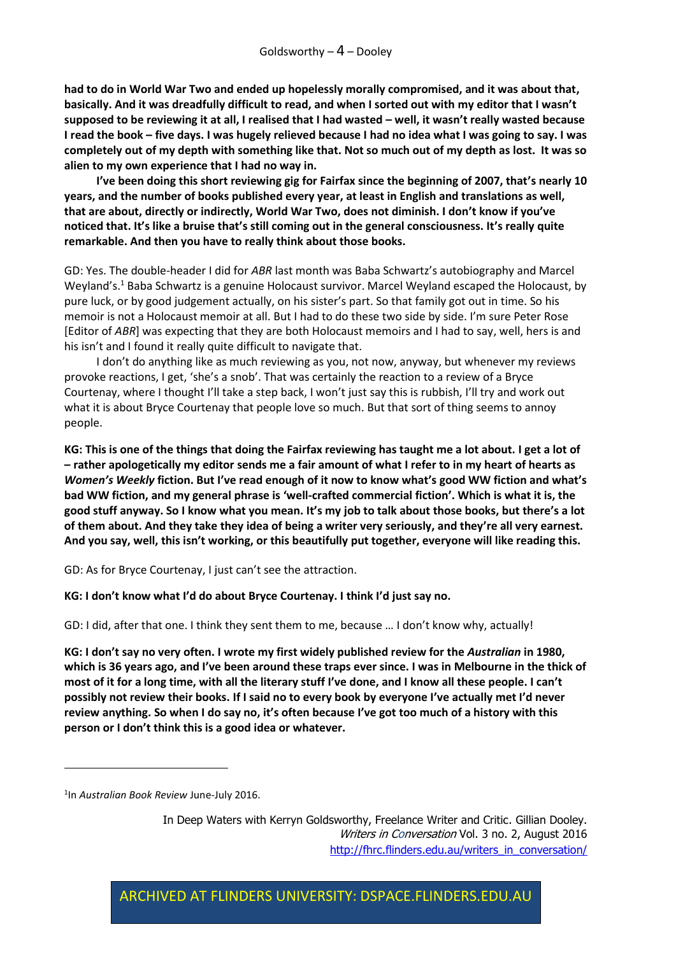**had to do in World War Two and ended up hopelessly morally compromised, and it was about that, basically. And it was dreadfully difficult to read, and when I sorted out with my editor that I wasn't supposed to be reviewing it at all, I realised that I had wasted – well, it wasn't really wasted because I read the book – five days. I was hugely relieved because I had no idea what I was going to say. I was completely out of my depth with something like that. Not so much out of my depth as lost. It was so alien to my own experience that I had no way in.**

**I've been doing this short reviewing gig for Fairfax since the beginning of 2007, that's nearly 10 years, and the number of books published every year, at least in English and translations as well, that are about, directly or indirectly, World War Two, does not diminish. I don't know if you've noticed that. It's like a bruise that's still coming out in the general consciousness. It's really quite remarkable. And then you have to really think about those books.**

GD: Yes. The double-header I did for *ABR* last month was Baba Schwartz's autobiography and Marcel Weyland's.<sup>1</sup> Baba Schwartz is a genuine Holocaust survivor. Marcel Weyland escaped the Holocaust, by pure luck, or by good judgement actually, on his sister's part. So that family got out in time. So his memoir is not a Holocaust memoir at all. But I had to do these two side by side. I'm sure Peter Rose [Editor of *ABR*] was expecting that they are both Holocaust memoirs and I had to say, well, hers is and his isn't and I found it really quite difficult to navigate that.

I don't do anything like as much reviewing as you, not now, anyway, but whenever my reviews provoke reactions, I get, 'she's a snob'. That was certainly the reaction to a review of a Bryce Courtenay, where I thought I'll take a step back, I won't just say this is rubbish, I'll try and work out what it is about Bryce Courtenay that people love so much. But that sort of thing seems to annoy people.

**KG: This is one of the things that doing the Fairfax reviewing has taught me a lot about. I get a lot of – rather apologetically my editor sends me a fair amount of what I refer to in my heart of hearts as**  *Women's Weekly* **fiction. But I've read enough of it now to know what's good WW fiction and what's bad WW fiction, and my general phrase is 'well-crafted commercial fiction'. Which is what it is, the good stuff anyway. So I know what you mean. It's my job to talk about those books, but there's a lot of them about. And they take they idea of being a writer very seriously, and they're all very earnest. And you say, well, this isn't working, or this beautifully put together, everyone will like reading this.**

GD: As for Bryce Courtenay, I just can't see the attraction.

**KG: I don't know what I'd do about Bryce Courtenay. I think I'd just say no.**

GD: I did, after that one. I think they sent them to me, because … I don't know why, actually!

**KG: I don't say no very often. I wrote my first widely published review for the** *Australian* **in 1980, which is 36 years ago, and I've been around these traps ever since. I was in Melbourne in the thick of most of it for a long time, with all the literary stuff I've done, and I know all these people. I can't possibly not review their books. If I said no to every book by everyone I've actually met I'd never review anything. So when I do say no, it's often because I've got too much of a history with this person or I don't think this is a good idea or whatever.** 

**.** 

<sup>1</sup> In *Australian Book Review* June-July 2016.

In Deep Waters with Kerryn Goldsworthy, Freelance Writer and Critic. Gillian Dooley. Writers in Conversation Vol. 3 no. 2, August 2016 [http://fhrc.flinders.edu.au/writers\\_in\\_conversation/](http://fhrc.flinders.edu.au/writers_in_conversation/)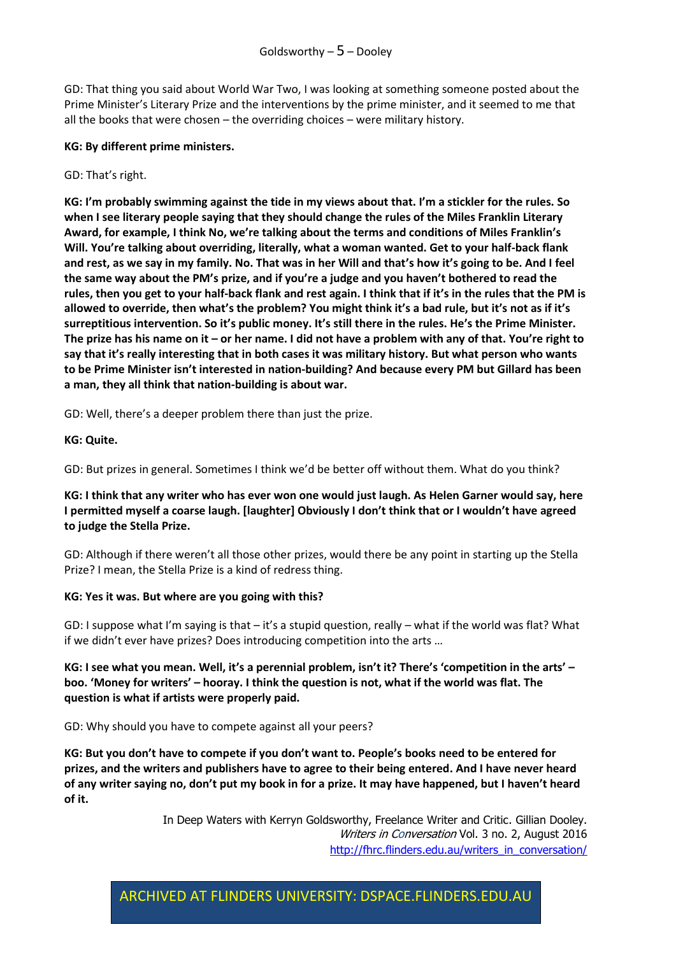GD: That thing you said about World War Two, I was looking at something someone posted about the Prime Minister's Literary Prize and the interventions by the prime minister, and it seemed to me that all the books that were chosen – the overriding choices – were military history.

#### **KG: By different prime ministers.**

#### GD: That's right.

**KG: I'm probably swimming against the tide in my views about that. I'm a stickler for the rules. So when I see literary people saying that they should change the rules of the Miles Franklin Literary Award, for example, I think No, we're talking about the terms and conditions of Miles Franklin's Will. You're talking about overriding, literally, what a woman wanted. Get to your half-back flank and rest, as we say in my family. No. That was in her Will and that's how it's going to be. And I feel the same way about the PM's prize, and if you're a judge and you haven't bothered to read the rules, then you get to your half-back flank and rest again. I think that if it's in the rules that the PM is allowed to override, then what's the problem? You might think it's a bad rule, but it's not as if it's surreptitious intervention. So it's public money. It's still there in the rules. He's the Prime Minister. The prize has his name on it – or her name. I did not have a problem with any of that. You're right to say that it's really interesting that in both cases it was military history. But what person who wants to be Prime Minister isn't interested in nation-building? And because every PM but Gillard has been a man, they all think that nation-building is about war.**

GD: Well, there's a deeper problem there than just the prize.

#### **KG: Quite.**

GD: But prizes in general. Sometimes I think we'd be better off without them. What do you think?

#### **KG: I think that any writer who has ever won one would just laugh. As Helen Garner would say, here I permitted myself a coarse laugh. [laughter] Obviously I don't think that or I wouldn't have agreed to judge the Stella Prize.**

GD: Although if there weren't all those other prizes, would there be any point in starting up the Stella Prize? I mean, the Stella Prize is a kind of redress thing.

#### **KG: Yes it was. But where are you going with this?**

GD: I suppose what I'm saying is that – it's a stupid question, really – what if the world was flat? What if we didn't ever have prizes? Does introducing competition into the arts …

**KG: I see what you mean. Well, it's a perennial problem, isn't it? There's 'competition in the arts' – boo. 'Money for writers' – hooray. I think the question is not, what if the world was flat. The question is what if artists were properly paid.** 

#### GD: Why should you have to compete against all your peers?

**KG: But you don't have to compete if you don't want to. People's books need to be entered for prizes, and the writers and publishers have to agree to their being entered. And I have never heard of any writer saying no, don't put my book in for a prize. It may have happened, but I haven't heard of it.**

> In Deep Waters with Kerryn Goldsworthy, Freelance Writer and Critic. Gillian Dooley. Writers in Conversation Vol. 3 no. 2, August 2016 [http://fhrc.flinders.edu.au/writers\\_in\\_conversation/](http://fhrc.flinders.edu.au/writers_in_conversation/)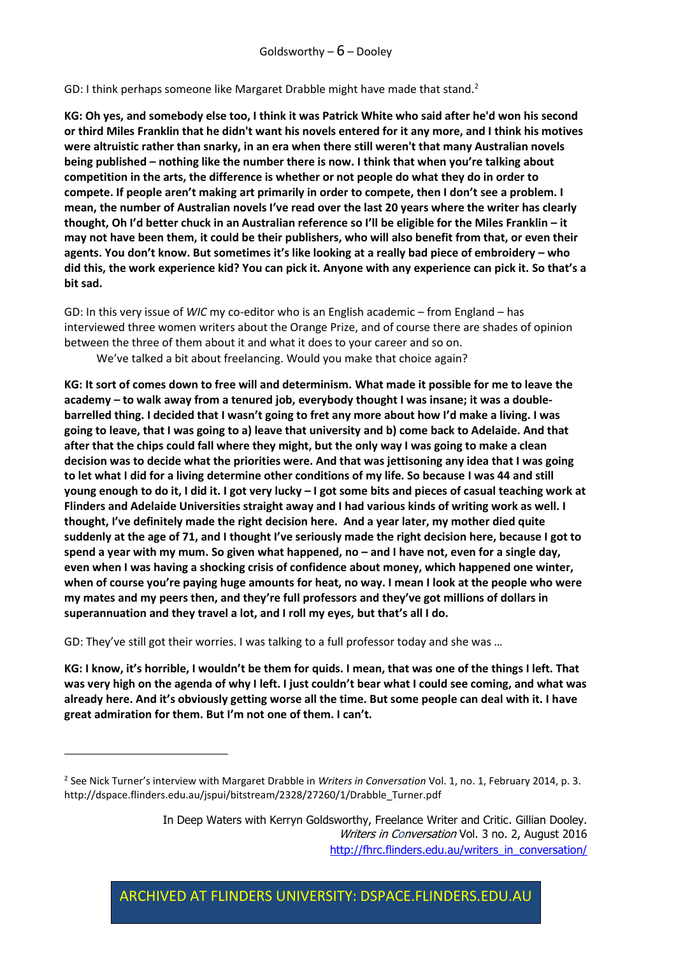GD: I think perhaps someone like Margaret Drabble might have made that stand.<sup>2</sup>

**KG: Oh yes, and somebody else too, I think it was Patrick White who said after he'd won his second or third Miles Franklin that he didn't want his novels entered for it any more, and I think his motives were altruistic rather than snarky, in an era when there still weren't that many Australian novels being published – nothing like the number there is now. I think that when you're talking about competition in the arts, the difference is whether or not people do what they do in order to compete. If people aren't making art primarily in order to compete, then I don't see a problem. I mean, the number of Australian novels I've read over the last 20 years where the writer has clearly thought, Oh I'd better chuck in an Australian reference so I'll be eligible for the Miles Franklin – it may not have been them, it could be their publishers, who will also benefit from that, or even their agents. You don't know. But sometimes it's like looking at a really bad piece of embroidery – who did this, the work experience kid? You can pick it. Anyone with any experience can pick it. So that's a bit sad.**

GD: In this very issue of *WIC* my co-editor who is an English academic – from England – has interviewed three women writers about the Orange Prize, and of course there are shades of opinion between the three of them about it and what it does to your career and so on. We've talked a bit about freelancing. Would you make that choice again?

**KG: It sort of comes down to free will and determinism. What made it possible for me to leave the academy – to walk away from a tenured job, everybody thought I was insane; it was a doublebarrelled thing. I decided that I wasn't going to fret any more about how I'd make a living. I was going to leave, that I was going to a) leave that university and b) come back to Adelaide. And that after that the chips could fall where they might, but the only way I was going to make a clean decision was to decide what the priorities were. And that was jettisoning any idea that I was going to let what I did for a living determine other conditions of my life. So because I was 44 and still young enough to do it, I did it. I got very lucky – I got some bits and pieces of casual teaching work at Flinders and Adelaide Universities straight away and I had various kinds of writing work as well. I thought, I've definitely made the right decision here. And a year later, my mother died quite suddenly at the age of 71, and I thought I've seriously made the right decision here, because I got to spend a year with my mum. So given what happened, no – and I have not, even for a single day, even when I was having a shocking crisis of confidence about money, which happened one winter, when of course you're paying huge amounts for heat, no way. I mean I look at the people who were my mates and my peers then, and they're full professors and they've got millions of dollars in superannuation and they travel a lot, and I roll my eyes, but that's all I do.** 

GD: They've still got their worries. I was talking to a full professor today and she was …

**.** 

**KG: I know, it's horrible, I wouldn't be them for quids. I mean, that was one of the things I left. That was very high on the agenda of why I left. I just couldn't bear what I could see coming, and what was already here. And it's obviously getting worse all the time. But some people can deal with it. I have great admiration for them. But I'm not one of them. I can't.**

<sup>2</sup> See Nick Turner's interview with Margaret Drabble in *Writers in Conversation* Vol. 1, no. 1, February 2014, p. 3. http://dspace.flinders.edu.au/jspui/bitstream/2328/27260/1/Drabble\_Turner.pdf

In Deep Waters with Kerryn Goldsworthy, Freelance Writer and Critic. Gillian Dooley. Writers in Conversation Vol. 3 no. 2, August 2016 [http://fhrc.flinders.edu.au/writers\\_in\\_conversation/](http://fhrc.flinders.edu.au/writers_in_conversation/)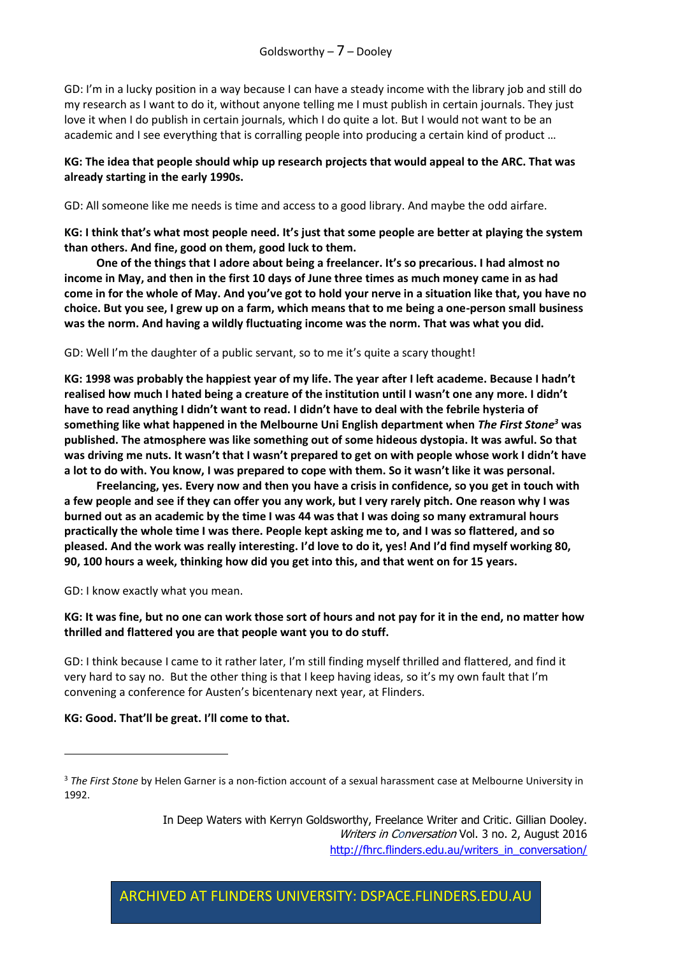GD: I'm in a lucky position in a way because I can have a steady income with the library job and still do my research as I want to do it, without anyone telling me I must publish in certain journals. They just love it when I do publish in certain journals, which I do quite a lot. But I would not want to be an academic and I see everything that is corralling people into producing a certain kind of product …

#### **KG: The idea that people should whip up research projects that would appeal to the ARC. That was already starting in the early 1990s.**

GD: All someone like me needs is time and access to a good library. And maybe the odd airfare.

**KG: I think that's what most people need. It's just that some people are better at playing the system than others. And fine, good on them, good luck to them.**

**One of the things that I adore about being a freelancer. It's so precarious. I had almost no income in May, and then in the first 10 days of June three times as much money came in as had come in for the whole of May. And you've got to hold your nerve in a situation like that, you have no choice. But you see, I grew up on a farm, which means that to me being a one-person small business was the norm. And having a wildly fluctuating income was the norm. That was what you did.**

#### GD: Well I'm the daughter of a public servant, so to me it's quite a scary thought!

**KG: 1998 was probably the happiest year of my life. The year after I left academe. Because I hadn't realised how much I hated being a creature of the institution until I wasn't one any more. I didn't have to read anything I didn't want to read. I didn't have to deal with the febrile hysteria of something like what happened in the Melbourne Uni English department when** *The First Stone<sup>3</sup>* **was published. The atmosphere was like something out of some hideous dystopia. It was awful. So that was driving me nuts. It wasn't that I wasn't prepared to get on with people whose work I didn't have a lot to do with. You know, I was prepared to cope with them. So it wasn't like it was personal.**

**Freelancing, yes. Every now and then you have a crisis in confidence, so you get in touch with a few people and see if they can offer you any work, but I very rarely pitch. One reason why I was burned out as an academic by the time I was 44 was that I was doing so many extramural hours practically the whole time I was there. People kept asking me to, and I was so flattered, and so pleased. And the work was really interesting. I'd love to do it, yes! And I'd find myself working 80, 90, 100 hours a week, thinking how did you get into this, and that went on for 15 years.**

GD: I know exactly what you mean.

#### **KG: It was fine, but no one can work those sort of hours and not pay for it in the end, no matter how thrilled and flattered you are that people want you to do stuff.**

GD: I think because I came to it rather later, I'm still finding myself thrilled and flattered, and find it very hard to say no. But the other thing is that I keep having ideas, so it's my own fault that I'm convening a conference for Austen's bicentenary next year, at Flinders.

#### **KG: Good. That'll be great. I'll come to that.**

**.** 

<sup>&</sup>lt;sup>3</sup> The First Stone by Helen Garner is a non-fiction account of a sexual harassment case at Melbourne University in 1992.

In Deep Waters with Kerryn Goldsworthy, Freelance Writer and Critic. Gillian Dooley. Writers in Conversation Vol. 3 no. 2, August 2016 [http://fhrc.flinders.edu.au/writers\\_in\\_conversation/](http://fhrc.flinders.edu.au/writers_in_conversation/)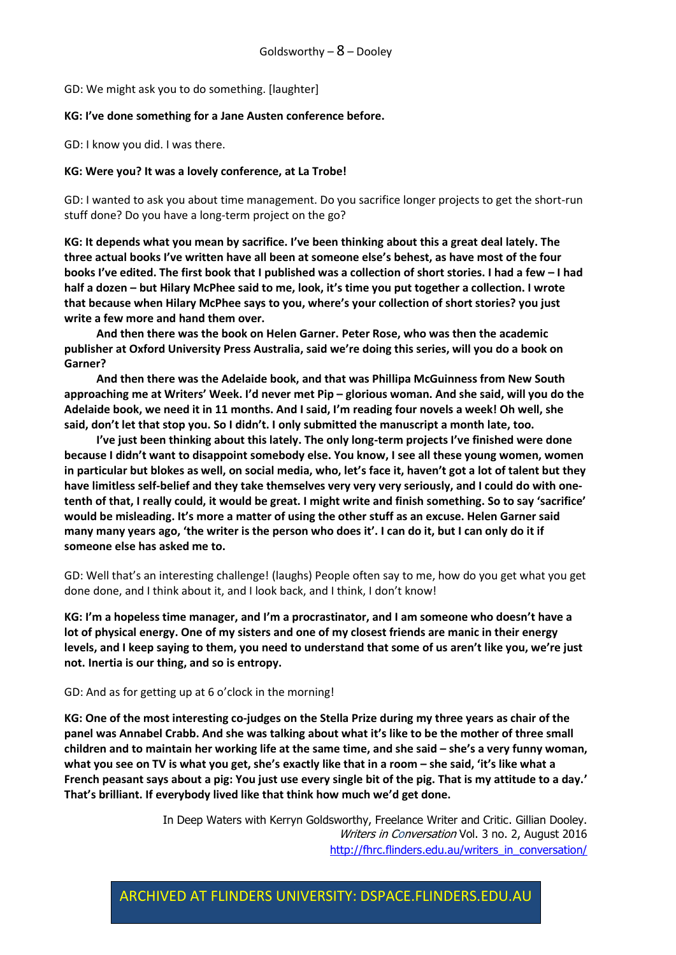GD: We might ask you to do something. [laughter]

#### **KG: I've done something for a Jane Austen conference before.**

GD: I know you did. I was there.

#### **KG: Were you? It was a lovely conference, at La Trobe!**

GD: I wanted to ask you about time management. Do you sacrifice longer projects to get the short-run stuff done? Do you have a long-term project on the go?

**KG: It depends what you mean by sacrifice. I've been thinking about this a great deal lately. The three actual books I've written have all been at someone else's behest, as have most of the four books I've edited. The first book that I published was a collection of short stories. I had a few – I had half a dozen – but Hilary McPhee said to me, look, it's time you put together a collection. I wrote that because when Hilary McPhee says to you, where's your collection of short stories? you just write a few more and hand them over.** 

**And then there was the book on Helen Garner. Peter Rose, who was then the academic publisher at Oxford University Press Australia, said we're doing this series, will you do a book on Garner?** 

**And then there was the Adelaide book, and that was Phillipa McGuinness from New South approaching me at Writers' Week. I'd never met Pip – glorious woman. And she said, will you do the Adelaide book, we need it in 11 months. And I said, I'm reading four novels a week! Oh well, she said, don't let that stop you. So I didn't. I only submitted the manuscript a month late, too.** 

**I've just been thinking about this lately. The only long-term projects I've finished were done because I didn't want to disappoint somebody else. You know, I see all these young women, women in particular but blokes as well, on social media, who, let's face it, haven't got a lot of talent but they have limitless self-belief and they take themselves very very very seriously, and I could do with onetenth of that, I really could, it would be great. I might write and finish something. So to say 'sacrifice' would be misleading. It's more a matter of using the other stuff as an excuse. Helen Garner said many many years ago, 'the writer is the person who does it'. I can do it, but I can only do it if someone else has asked me to.**

GD: Well that's an interesting challenge! (laughs) People often say to me, how do you get what you get done done, and I think about it, and I look back, and I think, I don't know!

**KG: I'm a hopeless time manager, and I'm a procrastinator, and I am someone who doesn't have a lot of physical energy. One of my sisters and one of my closest friends are manic in their energy levels, and I keep saying to them, you need to understand that some of us aren't like you, we're just not. Inertia is our thing, and so is entropy.**

GD: And as for getting up at 6 o'clock in the morning!

**KG: One of the most interesting co-judges on the Stella Prize during my three years as chair of the panel was Annabel Crabb. And she was talking about what it's like to be the mother of three small children and to maintain her working life at the same time, and she said – she's a very funny woman, what you see on TV is what you get, she's exactly like that in a room – she said, 'it's like what a French peasant says about a pig: You just use every single bit of the pig. That is my attitude to a day.' That's brilliant. If everybody lived like that think how much we'd get done.**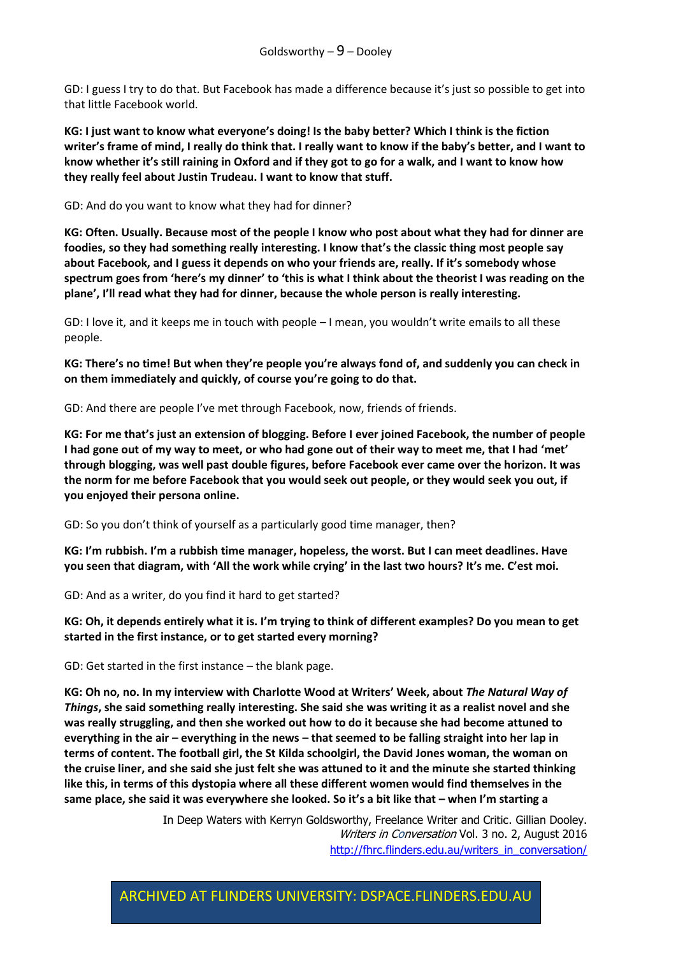GD: I guess I try to do that. But Facebook has made a difference because it's just so possible to get into that little Facebook world.

**KG: I just want to know what everyone's doing! Is the baby better? Which I think is the fiction writer's frame of mind, I really do think that. I really want to know if the baby's better, and I want to know whether it's still raining in Oxford and if they got to go for a walk, and I want to know how they really feel about Justin Trudeau. I want to know that stuff.**

GD: And do you want to know what they had for dinner?

**KG: Often. Usually. Because most of the people I know who post about what they had for dinner are foodies, so they had something really interesting. I know that's the classic thing most people say about Facebook, and I guess it depends on who your friends are, really. If it's somebody whose spectrum goes from 'here's my dinner' to 'this is what I think about the theorist I was reading on the plane', I'll read what they had for dinner, because the whole person is really interesting.** 

GD: I love it, and it keeps me in touch with people – I mean, you wouldn't write emails to all these people.

**KG: There's no time! But when they're people you're always fond of, and suddenly you can check in on them immediately and quickly, of course you're going to do that.**

GD: And there are people I've met through Facebook, now, friends of friends.

**KG: For me that's just an extension of blogging. Before I ever joined Facebook, the number of people I had gone out of my way to meet, or who had gone out of their way to meet me, that I had 'met' through blogging, was well past double figures, before Facebook ever came over the horizon. It was the norm for me before Facebook that you would seek out people, or they would seek you out, if you enjoyed their persona online.**

GD: So you don't think of yourself as a particularly good time manager, then?

**KG: I'm rubbish. I'm a rubbish time manager, hopeless, the worst. But I can meet deadlines. Have you seen that diagram, with 'All the work while crying' in the last two hours? It's me. C'est moi.** 

GD: And as a writer, do you find it hard to get started?

**KG: Oh, it depends entirely what it is. I'm trying to think of different examples? Do you mean to get started in the first instance, or to get started every morning?**

GD: Get started in the first instance – the blank page.

**KG: Oh no, no. In my interview with Charlotte Wood at Writers' Week, about** *The Natural Way of Things***, she said something really interesting. She said she was writing it as a realist novel and she was really struggling, and then she worked out how to do it because she had become attuned to everything in the air – everything in the news – that seemed to be falling straight into her lap in terms of content. The football girl, the St Kilda schoolgirl, the David Jones woman, the woman on the cruise liner, and she said she just felt she was attuned to it and the minute she started thinking like this, in terms of this dystopia where all these different women would find themselves in the same place, she said it was everywhere she looked. So it's a bit like that – when I'm starting a**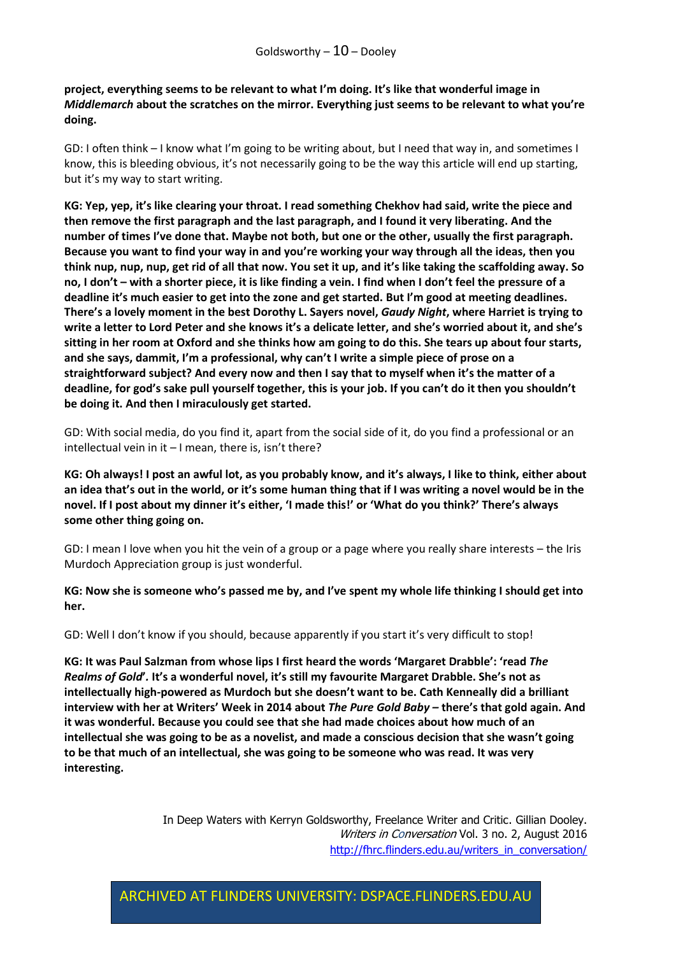**project, everything seems to be relevant to what I'm doing. It's like that wonderful image in**  *Middlemarch* **about the scratches on the mirror. Everything just seems to be relevant to what you're doing.** 

GD: I often think – I know what I'm going to be writing about, but I need that way in, and sometimes I know, this is bleeding obvious, it's not necessarily going to be the way this article will end up starting, but it's my way to start writing.

**KG: Yep, yep, it's like clearing your throat. I read something Chekhov had said, write the piece and then remove the first paragraph and the last paragraph, and I found it very liberating. And the number of times I've done that. Maybe not both, but one or the other, usually the first paragraph. Because you want to find your way in and you're working your way through all the ideas, then you think nup, nup, nup, get rid of all that now. You set it up, and it's like taking the scaffolding away. So no, I don't – with a shorter piece, it is like finding a vein. I find when I don't feel the pressure of a deadline it's much easier to get into the zone and get started. But I'm good at meeting deadlines. There's a lovely moment in the best Dorothy L. Sayers novel,** *Gaudy Night***, where Harriet is trying to write a letter to Lord Peter and she knows it's a delicate letter, and she's worried about it, and she's sitting in her room at Oxford and she thinks how am going to do this. She tears up about four starts, and she says, dammit, I'm a professional, why can't I write a simple piece of prose on a straightforward subject? And every now and then I say that to myself when it's the matter of a deadline, for god's sake pull yourself together, this is your job. If you can't do it then you shouldn't be doing it. And then I miraculously get started.**

GD: With social media, do you find it, apart from the social side of it, do you find a professional or an intellectual vein in it – I mean, there is, isn't there?

**KG: Oh always! I post an awful lot, as you probably know, and it's always, I like to think, either about an idea that's out in the world, or it's some human thing that if I was writing a novel would be in the novel. If I post about my dinner it's either, 'I made this!' or 'What do you think?' There's always some other thing going on.** 

GD: I mean I love when you hit the vein of a group or a page where you really share interests – the Iris Murdoch Appreciation group is just wonderful.

#### **KG: Now she is someone who's passed me by, and I've spent my whole life thinking I should get into her.**

GD: Well I don't know if you should, because apparently if you start it's very difficult to stop!

**KG: It was Paul Salzman from whose lips I first heard the words 'Margaret Drabble': 'read** *The Realms of Gold***'***.* **It's a wonderful novel, it's still my favourite Margaret Drabble. She's not as intellectually high-powered as Murdoch but she doesn't want to be. Cath Kenneally did a brilliant interview with her at Writers' Week in 2014 about** *The Pure Gold Baby –* **there's that gold again. And it was wonderful. Because you could see that she had made choices about how much of an intellectual she was going to be as a novelist, and made a conscious decision that she wasn't going to be that much of an intellectual, she was going to be someone who was read. It was very interesting.**

> In Deep Waters with Kerryn Goldsworthy, Freelance Writer and Critic. Gillian Dooley. Writers in Conversation Vol. 3 no. 2, August 2016 [http://fhrc.flinders.edu.au/writers\\_in\\_conversation/](http://fhrc.flinders.edu.au/writers_in_conversation/)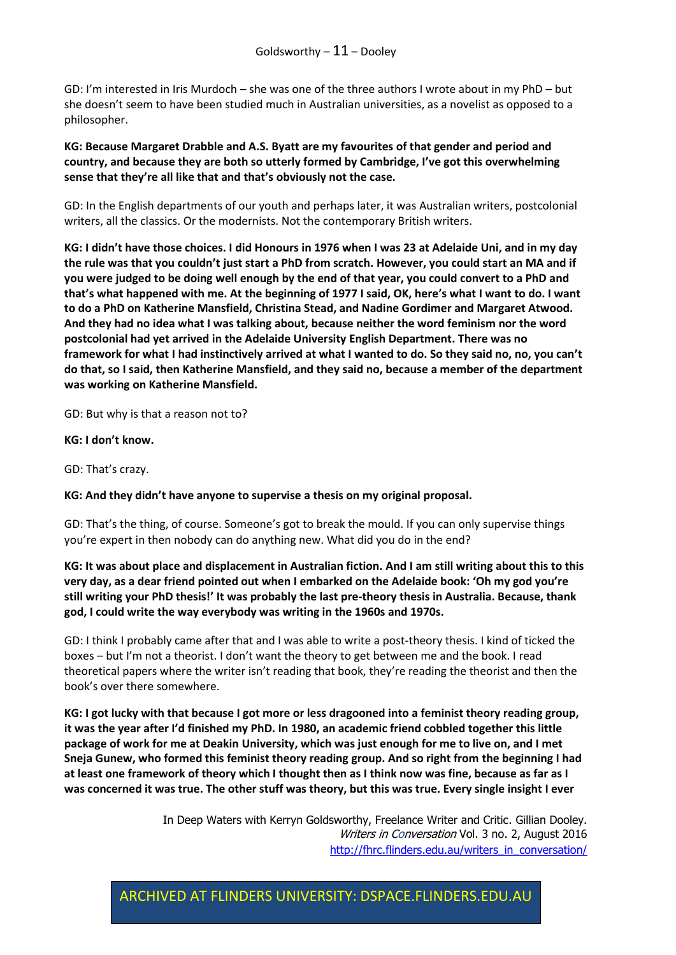GD: I'm interested in Iris Murdoch – she was one of the three authors I wrote about in my PhD – but she doesn't seem to have been studied much in Australian universities, as a novelist as opposed to a philosopher.

#### **KG: Because Margaret Drabble and A.S. Byatt are my favourites of that gender and period and country, and because they are both so utterly formed by Cambridge, I've got this overwhelming sense that they're all like that and that's obviously not the case.**

GD: In the English departments of our youth and perhaps later, it was Australian writers, postcolonial writers, all the classics. Or the modernists. Not the contemporary British writers.

**KG: I didn't have those choices. I did Honours in 1976 when I was 23 at Adelaide Uni, and in my day the rule was that you couldn't just start a PhD from scratch. However, you could start an MA and if you were judged to be doing well enough by the end of that year, you could convert to a PhD and that's what happened with me. At the beginning of 1977 I said, OK, here's what I want to do. I want to do a PhD on Katherine Mansfield, Christina Stead, and Nadine Gordimer and Margaret Atwood. And they had no idea what I was talking about, because neither the word feminism nor the word postcolonial had yet arrived in the Adelaide University English Department. There was no framework for what I had instinctively arrived at what I wanted to do. So they said no, no, you can't do that, so I said, then Katherine Mansfield, and they said no, because a member of the department was working on Katherine Mansfield.**

GD: But why is that a reason not to?

#### **KG: I don't know.**

GD: That's crazy.

#### **KG: And they didn't have anyone to supervise a thesis on my original proposal.**

GD: That's the thing, of course. Someone's got to break the mould. If you can only supervise things you're expert in then nobody can do anything new. What did you do in the end?

#### **KG: It was about place and displacement in Australian fiction. And I am still writing about this to this very day, as a dear friend pointed out when I embarked on the Adelaide book: 'Oh my god you're still writing your PhD thesis!' It was probably the last pre-theory thesis in Australia. Because, thank god, I could write the way everybody was writing in the 1960s and 1970s.**

GD: I think I probably came after that and I was able to write a post-theory thesis. I kind of ticked the boxes – but I'm not a theorist. I don't want the theory to get between me and the book. I read theoretical papers where the writer isn't reading that book, they're reading the theorist and then the book's over there somewhere.

**KG: I got lucky with that because I got more or less dragooned into a feminist theory reading group, it was the year after I'd finished my PhD. In 1980, an academic friend cobbled together this little package of work for me at Deakin University, which was just enough for me to live on, and I met Sneja Gunew, who formed this feminist theory reading group. And so right from the beginning I had at least one framework of theory which I thought then as I think now was fine, because as far as I was concerned it was true. The other stuff was theory, but this was true. Every single insight I ever** 

> In Deep Waters with Kerryn Goldsworthy, Freelance Writer and Critic. Gillian Dooley. Writers in Conversation Vol. 3 no. 2, August 2016 [http://fhrc.flinders.edu.au/writers\\_in\\_conversation/](http://fhrc.flinders.edu.au/writers_in_conversation/)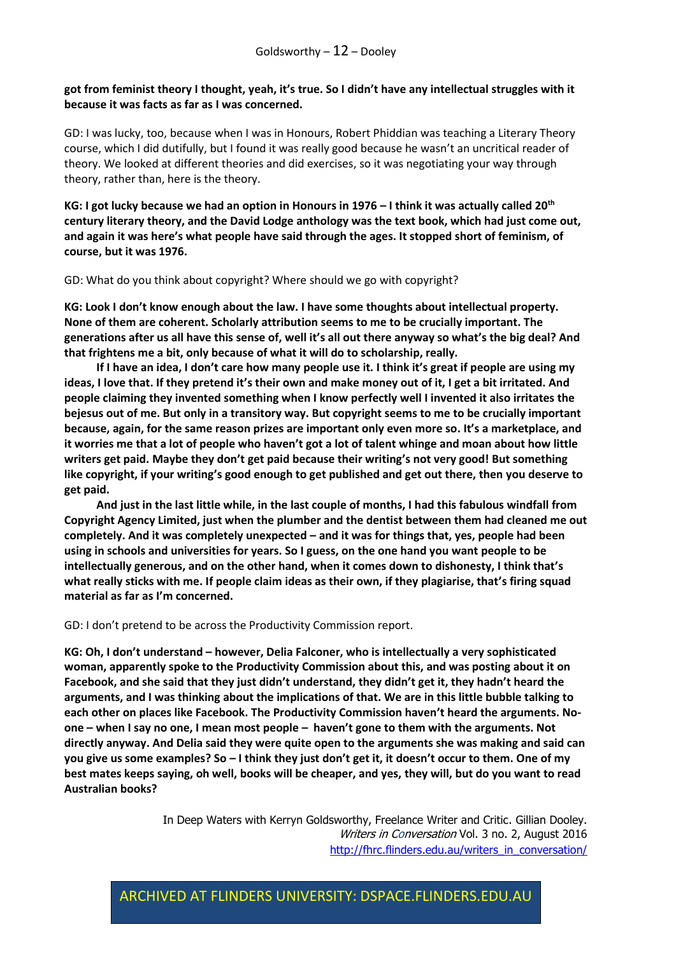#### **got from feminist theory I thought, yeah, it's true. So I didn't have any intellectual struggles with it because it was facts as far as I was concerned.**

GD: I was lucky, too, because when I was in Honours, Robert Phiddian was teaching a Literary Theory course, which I did dutifully, but I found it was really good because he wasn't an uncritical reader of theory. We looked at different theories and did exercises, so it was negotiating your way through theory, rather than, here is the theory.

**KG: I got lucky because we had an option in Honours in 1976 – I think it was actually called 20th century literary theory, and the David Lodge anthology was the text book, which had just come out, and again it was here's what people have said through the ages. It stopped short of feminism, of course, but it was 1976.**

GD: What do you think about copyright? Where should we go with copyright?

**KG: Look I don't know enough about the law. I have some thoughts about intellectual property. None of them are coherent. Scholarly attribution seems to me to be crucially important. The generations after us all have this sense of, well it's all out there anyway so what's the big deal? And that frightens me a bit, only because of what it will do to scholarship, really.** 

**If I have an idea, I don't care how many people use it. I think it's great if people are using my ideas, I love that. If they pretend it's their own and make money out of it, I get a bit irritated. And people claiming they invented something when I know perfectly well I invented it also irritates the bejesus out of me. But only in a transitory way. But copyright seems to me to be crucially important because, again, for the same reason prizes are important only even more so. It's a marketplace, and it worries me that a lot of people who haven't got a lot of talent whinge and moan about how little writers get paid. Maybe they don't get paid because their writing's not very good! But something like copyright, if your writing's good enough to get published and get out there, then you deserve to get paid.**

**And just in the last little while, in the last couple of months, I had this fabulous windfall from Copyright Agency Limited, just when the plumber and the dentist between them had cleaned me out completely. And it was completely unexpected – and it was for things that, yes, people had been using in schools and universities for years. So I guess, on the one hand you want people to be intellectually generous, and on the other hand, when it comes down to dishonesty, I think that's what really sticks with me. If people claim ideas as their own, if they plagiarise, that's firing squad material as far as I'm concerned.** 

GD: I don't pretend to be across the Productivity Commission report.

**KG: Oh, I don't understand – however, Delia Falconer, who is intellectually a very sophisticated woman, apparently spoke to the Productivity Commission about this, and was posting about it on Facebook, and she said that they just didn't understand, they didn't get it, they hadn't heard the arguments, and I was thinking about the implications of that. We are in this little bubble talking to each other on places like Facebook. The Productivity Commission haven't heard the arguments. Noone – when I say no one, I mean most people – haven't gone to them with the arguments. Not directly anyway. And Delia said they were quite open to the arguments she was making and said can you give us some examples? So – I think they just don't get it, it doesn't occur to them. One of my best mates keeps saying, oh well, books will be cheaper, and yes, they will, but do you want to read Australian books?**

> In Deep Waters with Kerryn Goldsworthy, Freelance Writer and Critic. Gillian Dooley. Writers in Conversation Vol. 3 no. 2, August 2016 [http://fhrc.flinders.edu.au/writers\\_in\\_conversation/](http://fhrc.flinders.edu.au/writers_in_conversation/)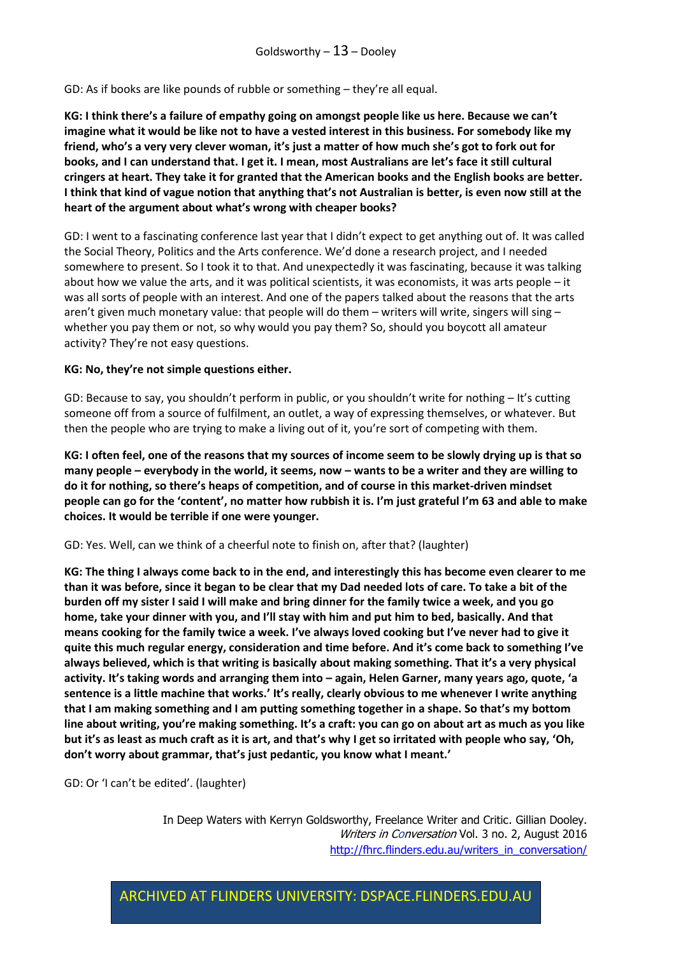GD: As if books are like pounds of rubble or something – they're all equal.

**KG: I think there's a failure of empathy going on amongst people like us here. Because we can't imagine what it would be like not to have a vested interest in this business. For somebody like my friend, who's a very very clever woman, it's just a matter of how much she's got to fork out for books, and I can understand that. I get it. I mean, most Australians are let's face it still cultural cringers at heart. They take it for granted that the American books and the English books are better. I think that kind of vague notion that anything that's not Australian is better, is even now still at the heart of the argument about what's wrong with cheaper books?** 

GD: I went to a fascinating conference last year that I didn't expect to get anything out of. It was called the Social Theory, Politics and the Arts conference. We'd done a research project, and I needed somewhere to present. So I took it to that. And unexpectedly it was fascinating, because it was talking about how we value the arts, and it was political scientists, it was economists, it was arts people – it was all sorts of people with an interest. And one of the papers talked about the reasons that the arts aren't given much monetary value: that people will do them – writers will write, singers will sing – whether you pay them or not, so why would you pay them? So, should you boycott all amateur activity? They're not easy questions.

#### **KG: No, they're not simple questions either.**

GD: Because to say, you shouldn't perform in public, or you shouldn't write for nothing – It's cutting someone off from a source of fulfilment, an outlet, a way of expressing themselves, or whatever. But then the people who are trying to make a living out of it, you're sort of competing with them.

**KG: I often feel, one of the reasons that my sources of income seem to be slowly drying up is that so many people – everybody in the world, it seems, now – wants to be a writer and they are willing to do it for nothing, so there's heaps of competition, and of course in this market-driven mindset people can go for the 'content', no matter how rubbish it is. I'm just grateful I'm 63 and able to make choices. It would be terrible if one were younger.** 

#### GD: Yes. Well, can we think of a cheerful note to finish on, after that? (laughter)

**KG: The thing I always come back to in the end, and interestingly this has become even clearer to me than it was before, since it began to be clear that my Dad needed lots of care. To take a bit of the burden off my sister I said I will make and bring dinner for the family twice a week, and you go home, take your dinner with you, and I'll stay with him and put him to bed, basically. And that means cooking for the family twice a week. I've always loved cooking but I've never had to give it quite this much regular energy, consideration and time before. And it's come back to something I've always believed, which is that writing is basically about making something. That it's a very physical activity. It's taking words and arranging them into – again, Helen Garner, many years ago, quote, 'a sentence is a little machine that works.' It's really, clearly obvious to me whenever I write anything that I am making something and I am putting something together in a shape. So that's my bottom line about writing, you're making something. It's a craft: you can go on about art as much as you like but it's as least as much craft as it is art, and that's why I get so irritated with people who say, 'Oh, don't worry about grammar, that's just pedantic, you know what I meant.'**

GD: Or 'I can't be edited'. (laughter)

In Deep Waters with Kerryn Goldsworthy, Freelance Writer and Critic. Gillian Dooley. Writers in Conversation Vol. 3 no. 2, August 2016 [http://fhrc.flinders.edu.au/writers\\_in\\_conversation/](http://fhrc.flinders.edu.au/writers_in_conversation/)